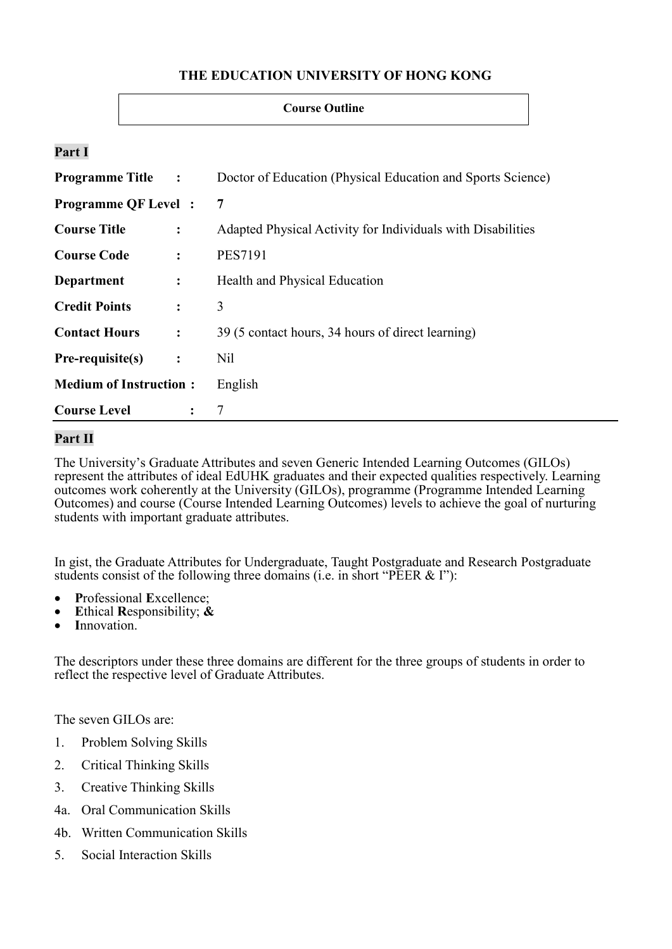## **THE EDUCATION UNIVERSITY OF HONG KONG**

#### **Course Outline**

### **Part I**

| <b>Programme Title :</b>               | Doctor of Education (Physical Education and Sports Science) |
|----------------------------------------|-------------------------------------------------------------|
| <b>Programme QF Level:</b>             | $\overline{7}$                                              |
| <b>Course Title</b><br>$\ddot{\cdot}$  | Adapted Physical Activity for Individuals with Disabilities |
| <b>Course Code</b><br>$\ddot{\cdot}$   | <b>PES7191</b>                                              |
| Department<br>$\ddot{\cdot}$           | Health and Physical Education                               |
| <b>Credit Points</b><br>$\ddot{\cdot}$ | 3                                                           |
| <b>Contact Hours</b><br>$\ddot{\cdot}$ | 39 (5 contact hours, 34 hours of direct learning)           |
| Pre-requisite(s)<br>$\ddot{\cdot}$     | Nil                                                         |
| <b>Medium of Instruction:</b>          | English                                                     |
| <b>Course Level</b><br>$\ddot{\cdot}$  | 7                                                           |

## **Part II**

The University's Graduate Attributes and seven Generic Intended Learning Outcomes (GILOs) represent the attributes of ideal EdUHK graduates and their expected qualities respectively. Learning outcomes work coherently at the University (GILOs), programme (Programme Intended Learning Outcomes) and course (Course Intended Learning Outcomes) levels to achieve the goal of nurturing students with important graduate attributes.

In gist, the Graduate Attributes for Undergraduate, Taught Postgraduate and Research Postgraduate students consist of the following three domains (i.e. in short "PEER & I"):

- **P**rofessional **E**xcellence;
- **E**thical **R**esponsibility; **&**
- **I**nnovation.

The descriptors under these three domains are different for the three groups of students in order to reflect the respective level of Graduate Attributes.

The seven GILOs are:

- 1. Problem Solving Skills
- 2. Critical Thinking Skills
- 3. Creative Thinking Skills
- 4a. Oral Communication Skills
- 4b. Written Communication Skills
- 5. Social Interaction Skills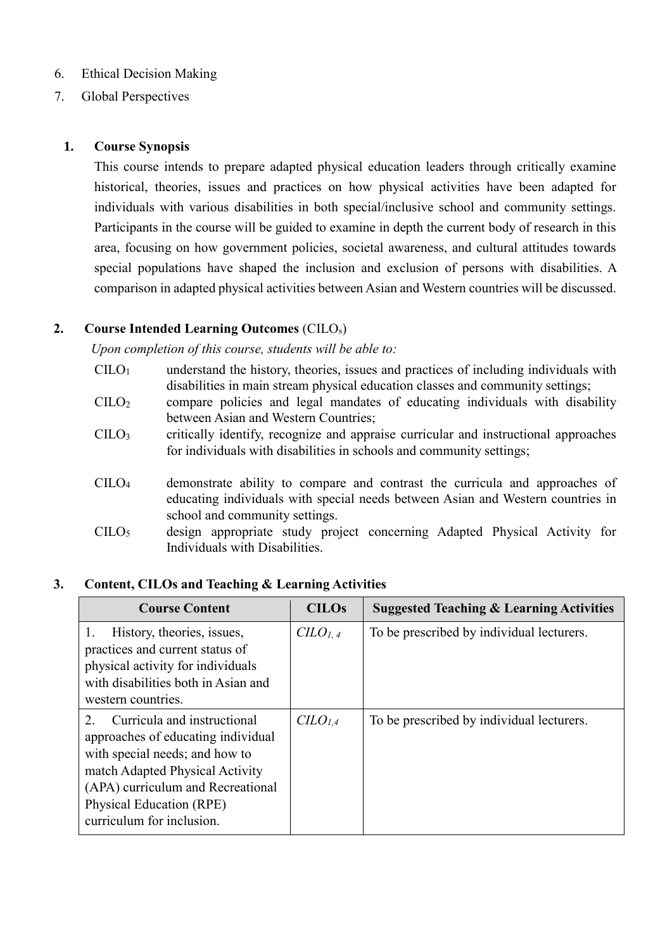## 6. Ethical Decision Making

7. Global Perspectives

### **1. Course Synopsis**

This course intends to prepare adapted physical education leaders through critically examine historical, theories, issues and practices on how physical activities have been adapted for individuals with various disabilities in both special/inclusive school and community settings. Participants in the course will be guided to examine in depth the current body of research in this area, focusing on how government policies, societal awareness, and cultural attitudes towards special populations have shaped the inclusion and exclusion of persons with disabilities. A comparison in adapted physical activities between Asian and Western countries will be discussed.

## **2. Course Intended Learning Outcomes** (CILOs)

*Upon completion of this course, students will be able to:*

- $CILO<sub>1</sub>$  understand the history, theories, issues and practices of including individuals with disabilities in main stream physical education classes and community settings;
- CILO<sup>2</sup> compare policies and legal mandates of educating individuals with disability between Asian and Western Countries;
- CILO<sup>3</sup> critically identify, recognize and appraise curricular and instructional approaches for individuals with disabilities in schools and community settings;
- CILO<sup>4</sup> demonstrate ability to compare and contrast the curricula and approaches of educating individuals with special needs between Asian and Western countries in school and community settings.
- CILO<sup>5</sup> design appropriate study project concerning Adapted Physical Activity for Individuals with Disabilities.

### **3. Content, CILOs and Teaching & Learning Activities**

| <b>Course Content</b>                                                                                                                                                                                                                                         | <b>CILOs</b>                  | <b>Suggested Teaching &amp; Learning Activities</b> |
|---------------------------------------------------------------------------------------------------------------------------------------------------------------------------------------------------------------------------------------------------------------|-------------------------------|-----------------------------------------------------|
| History, theories, issues,<br>practices and current status of<br>physical activity for individuals<br>with disabilities both in Asian and<br>western countries.                                                                                               | C <sub>LO<sub>1,4</sub></sub> | To be prescribed by individual lecturers.           |
| Curricula and instructional<br>$\mathcal{D}_{\cdot}$<br>approaches of educating individual<br>with special needs; and how to<br>match Adapted Physical Activity<br>(APA) curriculum and Recreational<br>Physical Education (RPE)<br>curriculum for inclusion. | C <sub>LO<sub>1.4</sub></sub> | To be prescribed by individual lecturers.           |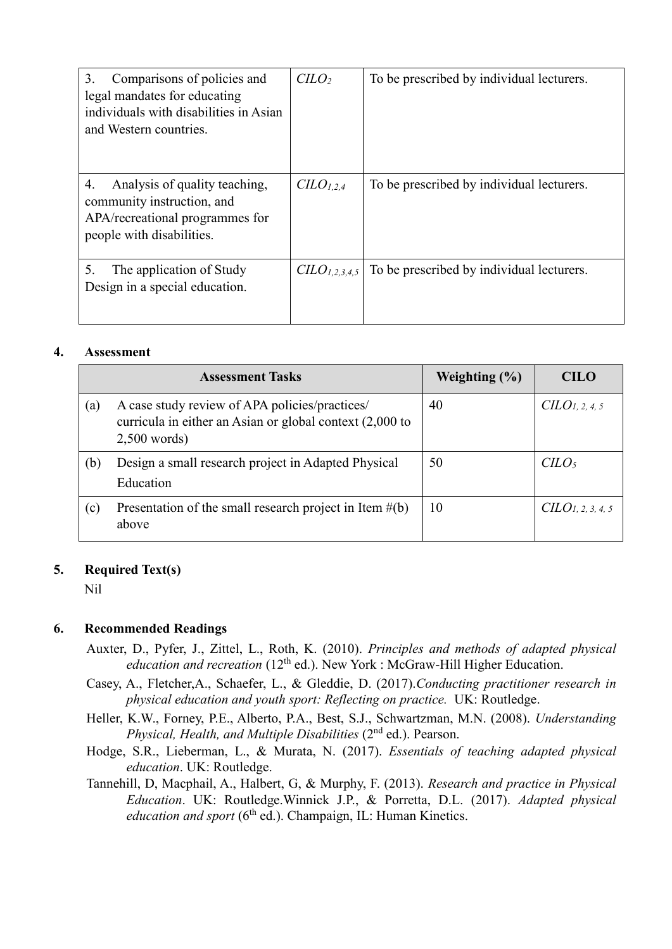| Comparisons of policies and<br>3.<br>legal mandates for educating<br>individuals with disabilities in Asian<br>and Western countries. | $C LO2$              | To be prescribed by individual lecturers. |
|---------------------------------------------------------------------------------------------------------------------------------------|----------------------|-------------------------------------------|
| 4.<br>Analysis of quality teaching,<br>community instruction, and<br>APA/recreational programmes for<br>people with disabilities.     | $C\ddot{L}O_{1,2,4}$ | To be prescribed by individual lecturers. |
| 5.<br>The application of Study<br>Design in a special education.                                                                      | $CLO_{1,2,3,4,5}$    | To be prescribed by individual lecturers. |

#### **4. Assessment**

|     | <b>Assessment Tasks</b>                                                                                                      | Weighting $(\% )$ | <b>CILO</b>                  |
|-----|------------------------------------------------------------------------------------------------------------------------------|-------------------|------------------------------|
| (a) | A case study review of APA policies/practices/<br>curricula in either an Asian or global context (2,000 to<br>$2,500$ words) | 40                | CLO <sub>1</sub> , 2, 4, 5   |
| (b) | Design a small research project in Adapted Physical<br>Education                                                             | 50                | $C$                          |
| (c) | Presentation of the small research project in Item $\#(b)$<br>above                                                          | 10                | CLO <sub>1, 2, 3, 4, 5</sub> |

#### **5. Required Text(s)**

Nil

#### **6. Recommended Readings**

- Auxter, D., Pyfer, J., Zittel, L., Roth, K. (2010). *Principles and methods of adapted physical*  education and recreation (12<sup>th</sup> ed.). New York : McGraw-Hill Higher Education.
- Casey, A., Fletcher,A., Schaefer, L., & Gleddie, D. (2017).*Conducting practitioner research in physical education and youth sport: Reflecting on practice.* UK: Routledge.
- Heller, K.W., Forney, P.E., Alberto, P.A., Best, S.J., Schwartzman, M.N. (2008). *Understanding Physical, Health, and Multiple Disabilities* (2nd ed.). Pearson.
- Hodge, S.R., Lieberman, L., & Murata, N. (2017). *Essentials of teaching adapted physical education*. UK: Routledge.
- Tannehill, D, Macphail, A., Halbert, G, & Murphy, F. (2013). *Research and practice in Physical Education*. UK: Routledge.Winnick J.P., & Porretta, D.L. (2017). *Adapted physical education and sport* (6<sup>th</sup> ed.). Champaign, IL: Human Kinetics.